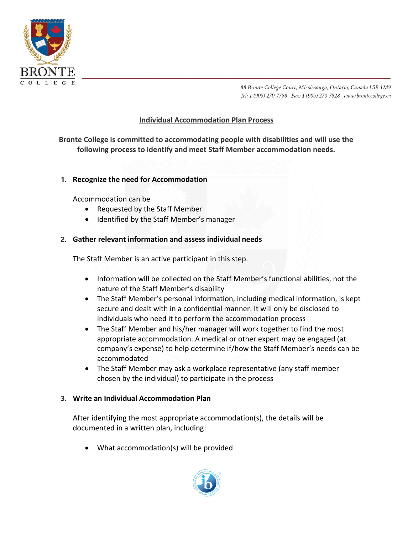

88 Bronte College Court, Mississauga, Ontario, Canada L5B 1M9 Tel: 1 (905) 270-7788 Fax: 1 (905) 270-7828 www.brontecollege.ca

# **Individual Accommodation Plan Process**

**Bronte College is committed to accommodating people with disabilities and will use the following process to identify and meet Staff Member accommodation needs.**

### **1. Recognize the need for Accommodation**

Accommodation can be

- Requested by the Staff Member
- Identified by the Staff Member's manager

### **2. Gather relevant information and assess individual needs**

The Staff Member is an active participant in this step.

- Information will be collected on the Staff Member's functional abilities, not the nature of the Staff Member's disability
- The Staff Member's personal information, including medical information, is kept secure and dealt with in a confidential manner. It will only be disclosed to individuals who need it to perform the accommodation process
- The Staff Member and his/her manager will work together to find the most appropriate accommodation. A medical or other expert may be engaged (at company's expense) to help determine if/how the Staff Member's needs can be accommodated
- The Staff Member may ask a workplace representative (any staff member chosen by the individual) to participate in the process

### **3. Write an Individual Accommodation Plan**

After identifying the most appropriate accommodation(s), the details will be documented in a written plan, including:

• What accommodation(s) will be provided